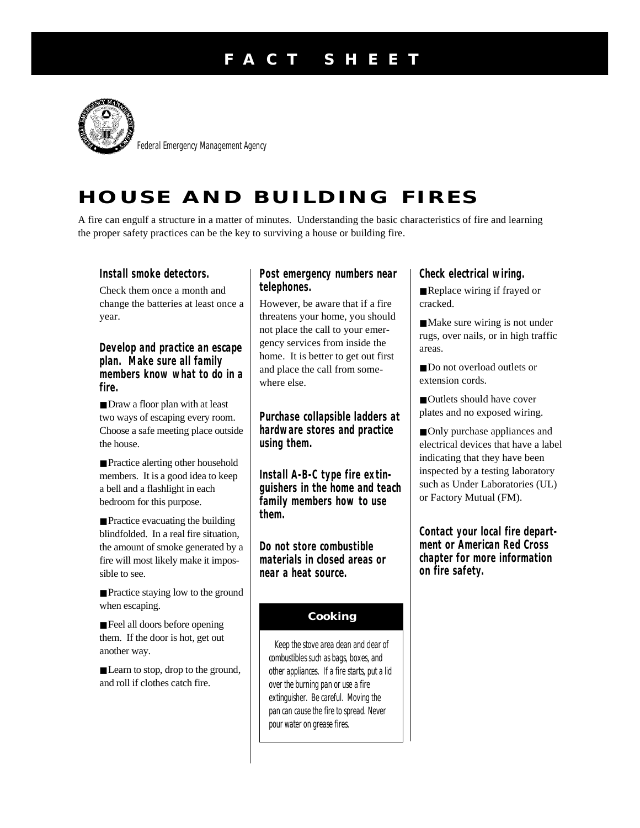## **F A C T S H E E T**



Federal Emergency Management Agency

# **HOUSE AND BUILDING FIRES**

A fire can engulf a structure in a matter of minutes. Understanding the basic characteristics of fire and learning the proper safety practices can be the key to surviving a house or building fire.

| Install smoke detectors.                                                                                                                                                                 | Post emergency numbers near<br>telephones.                                                                            |
|------------------------------------------------------------------------------------------------------------------------------------------------------------------------------------------|-----------------------------------------------------------------------------------------------------------------------|
| Check them once a month and<br>change the batteries at least once a<br>year.                                                                                                             | However, be aware that if a fire<br>threatens your home, you should<br>not place the call to your emer-               |
| Develop and practice an escape<br>plan. Make sure all family<br>members know what to do in a<br>fire.                                                                                    | gency services from inside the<br>home. It is better to get out first<br>and place the call from some-<br>where else. |
| Draw a floor plan with at least<br>two ways of escaping every room.<br>Choose a safe meeting place outside<br>the house.                                                                 | Purchase collapsible ladders at<br>hardware stores and practice<br>using them.                                        |
| ■ Practice alerting other household<br>members. It is a good idea to keep<br>a bell and a flashlight in each<br>bedroom for this purpose.                                                | Install A-B-C type fire extin-<br>quishers in the home and teach<br>family members how to use                         |
| $\blacksquare$ Practice evacuating the building<br>blindfolded. In a real fire situation,<br>the amount of smoke generated by a<br>fire will most likely make it impos-<br>sible to see. | them.<br>Do not store combustible<br>materials in closed areas or<br>near a heat source.                              |
| ■ Practice staying low to the ground<br>when escaping.                                                                                                                                   |                                                                                                                       |
| Feel all doors before opening                                                                                                                                                            | Cooking                                                                                                               |
| them. If the door is hot, get out<br>another way.                                                                                                                                        | Keep the stove area clean and clear of                                                                                |

■ Learn to stop, drop to the ground, and roll if clothes catch fire.

ean and clear of combustibles such as bags, boxes, and other appliances. If a fire starts, put a lid over the burning pan or use a fire extinguisher. Be careful. Moving the pan can cause the fire to spread. Never pour water on grease fires.

**Check electrical wiring.**

■ Replace wiring if frayed or cracked.

■ Make sure wiring is not under rugs, over nails, or in high traffic areas.

■ Do not overload outlets or extension cords.

■ Outlets should have cover plates and no exposed wiring.

■ Only purchase appliances and electrical devices that have a label indicating that they have been inspected by a testing laboratory such as Under Laboratories (UL) or Factory Mutual (FM).

**Contact your local fire department or American Red Cross chapter for more information on fire safety.**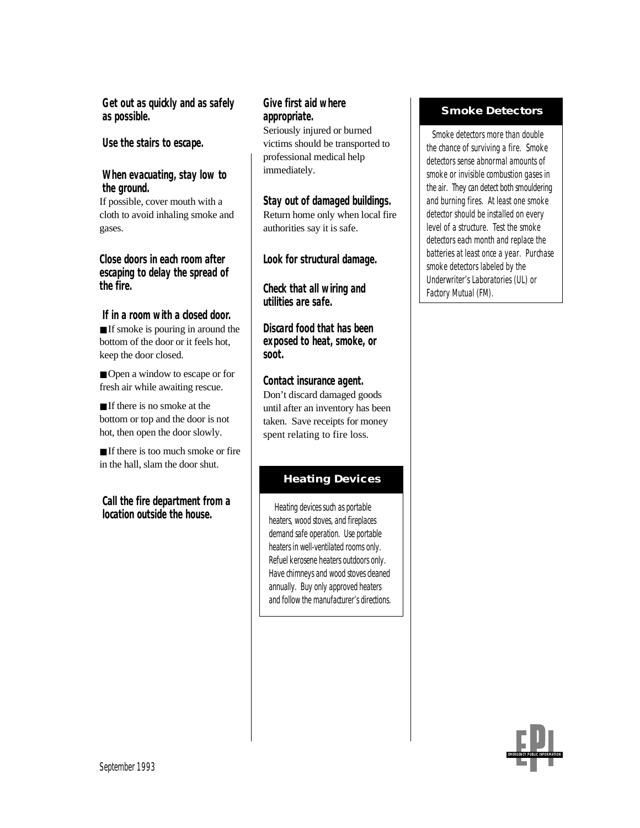Get out as quickly and as safely<br> **Smoke Detectors as possible.**

**Use the stairs to escape.**

**When evacuating, stay low to the ground.**

If possible, cover mouth with a cloth to avoid inhaling smoke and gases.

**Close doors in each room after escaping to delay the spread of the fire.**

**If in a room with a closed door.** ■ If smoke is pouring in around the bottom of the door or it feels hot, keep the door closed.

■ Open a window to escape or for fresh air while awaiting rescue.

■ If there is no smoke at the bottom or top and the door is not hot, then open the door slowly.

■ If there is too much smoke or fire in the hall, slam the door shut.

**Call the fire department from a location outside the house.**

**Give first aid where appropriate.** Seriously injured or burned victims should be transported to professional medical help immediately.

**Stay out of damaged buildings.** Return home only when local fire authorities say it is safe.

**Look for structural damage.**

**Check that all wiring and utilities are safe.**

**Discard food that has been exposed to heat, smoke, or soot.**

**Contact insurance agent.** Don't discard damaged goods until after an inventory has been taken. Save receipts for money spent relating to fire loss.

### **Heating Devices**

Heating devices such as portable heaters, wood stoves, and fireplaces demand safe operation. Use portable heaters in well-ventilated rooms only. Refuel kerosene heaters outdoors only. Have chimneys and wood stoves cleaned annually. Buy only approved heaters and follow the manufacturer's directions.

Smoke detectors more than double the chance of surviving a fire. Smoke detectors sense abnormal amounts of smoke or invisible combustion gases in the air. They can detect both smouldering and burning fires. At least one smoke detector should be installed on every level of a structure. Test the smoke detectors each month and replace the batteries at least once a year. Purchase smoke detectors labeled by the Underwriter's Laboratories (UL) or Factory Mutual (FM).

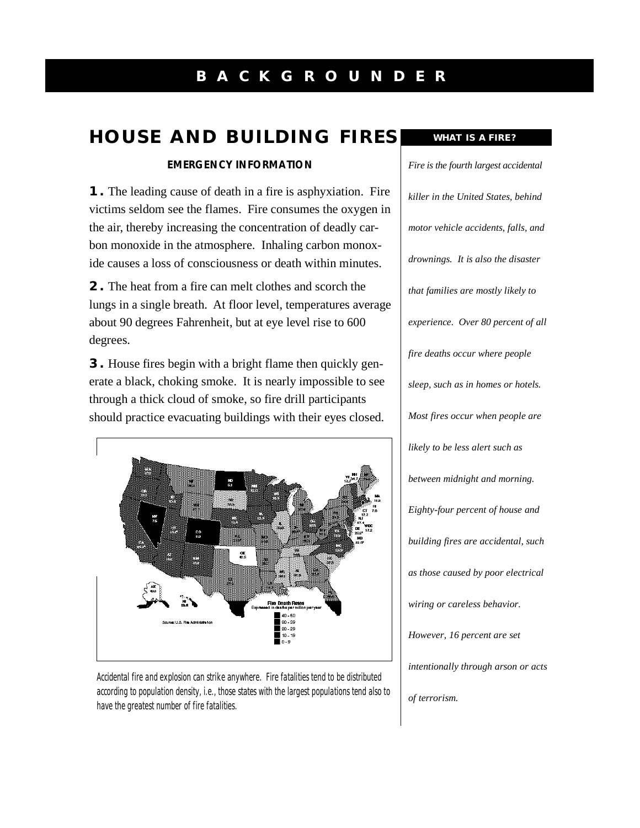### **B A C K G R O U N D E R**

# **HOUSE AND BUILDING FIRES WHAT IS A FIRE?**

### **EMERGENCY INFORMATION**

**1.** The leading cause of death in a fire is asphyxiation. Fire victims seldom see the flames. Fire consumes the oxygen in the air, thereby increasing the concentration of deadly carbon monoxide in the atmosphere. Inhaling carbon monoxide causes a loss of consciousness or death within minutes.

**2.** The heat from a fire can melt clothes and scorch the lungs in a single breath. At floor level, temperatures average about 90 degrees Fahrenheit, but at eye level rise to 600 degrees.

**3.** House fires begin with a bright flame then quickly generate a black, choking smoke. It is nearly impossible to see through a thick cloud of smoke, so fire drill participants should practice evacuating buildings with their eyes closed.



Accidental fire and explosion can strike anywhere. Fire fatalities tend to be distributed according to population density, i.e., those states with the largest populations tend also to have the greatest number of fire fatalities.

*Fire is the fourth largest accidental killer in the United States, behind motor vehicle accidents, falls, and drownings. It is also the disaster that families are mostly likely to experience. Over 80 percent of all fire deaths occur where people sleep, such as in homes or hotels. Most fires occur when people are likely to be less alert such as between midnight and morning. Eighty-four percent of house and building fires are accidental, such as those caused by poor electrical wiring or careless behavior. However, 16 percent are set intentionally through arson or acts of terrorism.*